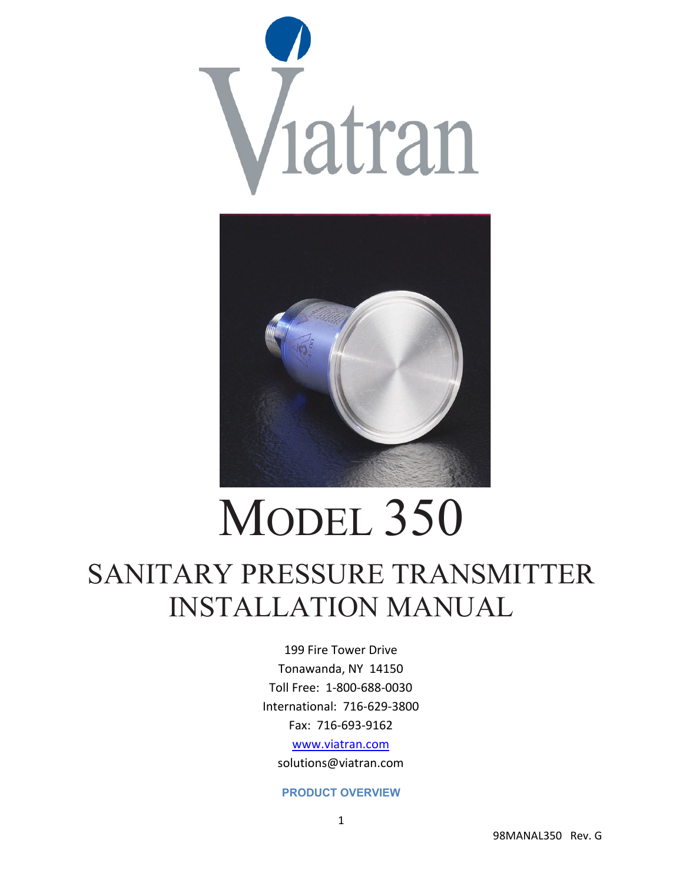



# MODEL 350 SANITARY PRESSURE TRANSMITTER INSTALLATION MANUAL

199 Fire Tower Drive Tonawanda, NY 14150 Toll Free: 1‐800‐688‐0030 International: 716‐629‐3800 Fax: 716‐693‐9162 www.viatran.com

solutions@viatran.com

## **PRODUCT OVERVIEW**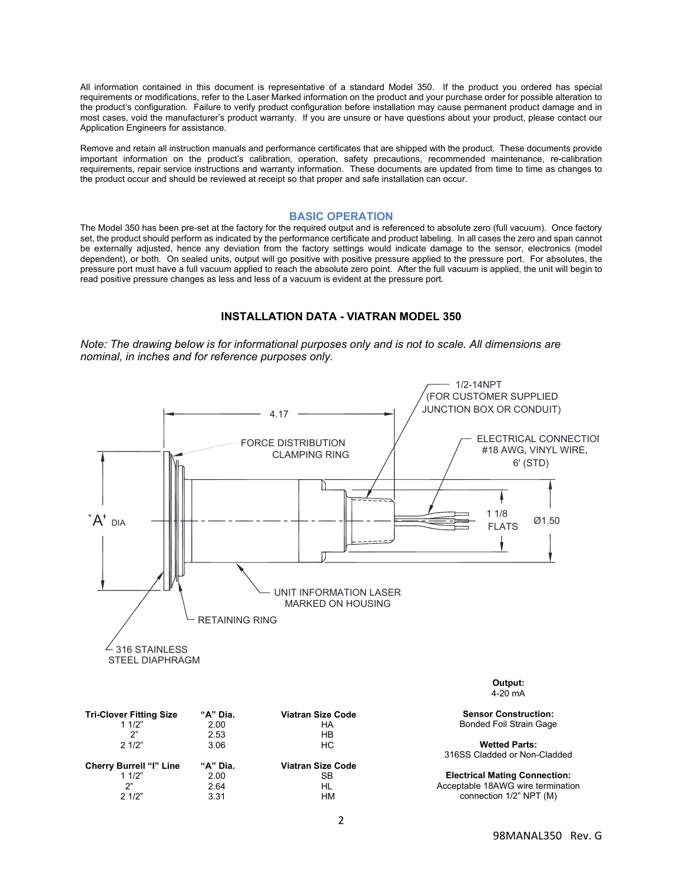All information contained in this document is representative of a standard Model 350. If the product you ordered has special requirements or modifications, refer to the Laser Marked information on the product and your purchase order for possible alteration to the product's configuration. Failure to verify product configuration before installation may cause permanent product damage and in most cases, void the manufacturer's product warranty. If you are unsure or have questions about your product, please contact our Application Engineers for assistance.

Remove and retain all instruction manuals and performance certificates that are shipped with the product. These documents provide important information on the product's calibration, operation, safety precautions, recommended maintenance, re-calibration requirements, repair service instructions and warranty information. These documents are updated from time to time as changes to the product occur and should be reviewed at receipt so that proper and safe installation can occur.

## **BASIC OPERATION**

The Model 350 has been pre-set at the factory for the required output and is referenced to absolute zero (full vacuum). Once factory set, the product should perform as indicated by the performance certificate and product labeling. In all cases the zero and span cannot be externally adjusted, hence any deviation from the factory settings would indicate damage to the sensor, electronics (model dependent), or both. On sealed units, output will go positive with positive pressure applied to the pressure port. For absolutes, the pressure port must have a full vacuum applied to reach the absolute zero point. After the full vacuum is applied, the unit will begin to read positive pressure changes as less and less of a vacuum is evident at the pressure port.

## **INSTALLATION DATA - VIATRAN MODEL 350**

*Note: The drawing below is for informational purposes only and is not to scale. All dimensions are nominal, in inches and for reference purposes only.* 

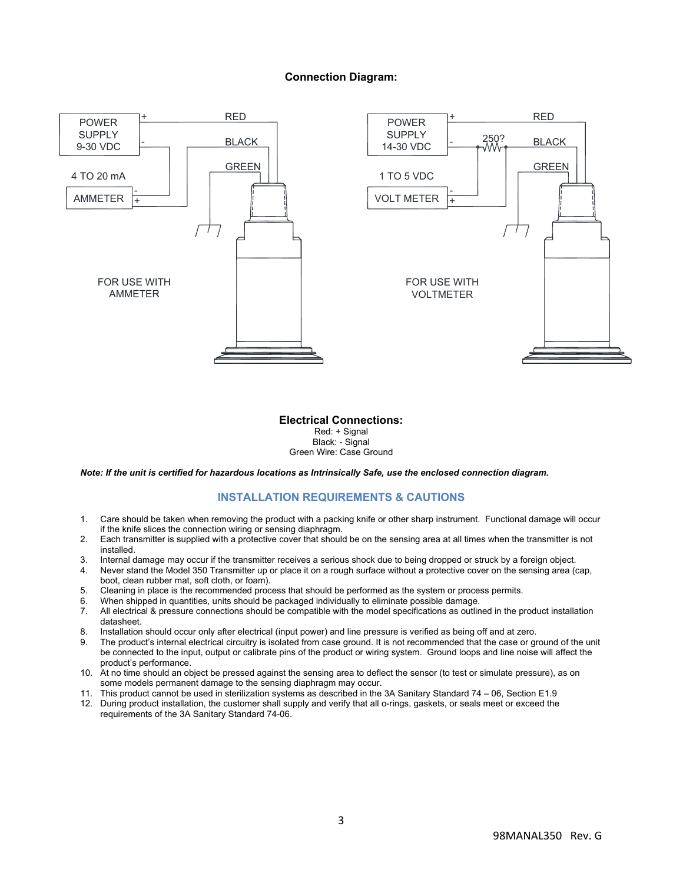## **Connection Diagram:**



#### **Electrical Connections:**  Red: + Signal Black: - Signal Green Wire: Case Ground

*Note: If the unit is certified for hazardous locations as Intrinsically Safe, use the enclosed connection diagram.* 

## **INSTALLATION REQUIREMENTS & CAUTIONS**

- 1. Care should be taken when removing the product with a packing knife or other sharp instrument. Functional damage will occur if the knife slices the connection wiring or sensing diaphragm.
- 2. Each transmitter is supplied with a protective cover that should be on the sensing area at all times when the transmitter is not installed.
- 3. Internal damage may occur if the transmitter receives a serious shock due to being dropped or struck by a foreign object.
- 4. Never stand the Model 350 Transmitter up or place it on a rough surface without a protective cover on the sensing area (cap, boot, clean rubber mat, soft cloth, or foam).
- 5. Cleaning in place is the recommended process that should be performed as the system or process permits.
- 6. When shipped in quantities, units should be packaged individually to eliminate possible damage.
- 7. All electrical & pressure connections should be compatible with the model specifications as outlined in the product installation datasheet.
- 8. Installation should occur only after electrical (input power) and line pressure is verified as being off and at zero.
- 9. The product's internal electrical circuitry is isolated from case ground. It is not recommended that the case or ground of the unit be connected to the input, output or calibrate pins of the product or wiring system. Ground loops and line noise will affect the product's performance.
- 10. At no time should an object be pressed against the sensing area to deflect the sensor (to test or simulate pressure), as on some models permanent damage to the sensing diaphragm may occur.
- 11. This product cannot be used in sterilization systems as described in the 3A Sanitary Standard 74 06, Section E1.9
- 12. During product installation, the customer shall supply and verify that all o-rings, gaskets, or seals meet or exceed the requirements of the 3A Sanitary Standard 74-06.